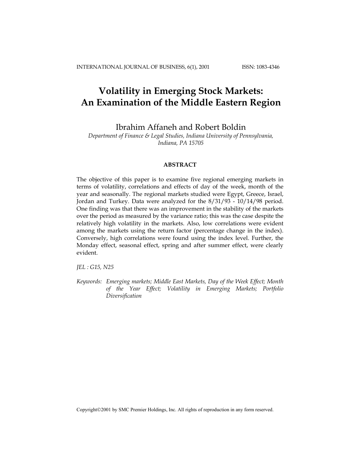# **Volatility in Emerging Stock Markets: An Examination of the Middle Eastern Region**

Ibrahim Affaneh and Robert Boldin

*Department of Finance & Legal Studies, Indiana University of Pennsylvania, Indiana, PA 15705* 

# **ABSTRACT**

The objective of this paper is to examine five regional emerging markets in terms of volatility, correlations and effects of day of the week, month of the year and seasonally. The regional markets studied were Egypt, Greece, Israel, Jordan and Turkey. Data were analyzed for the 8/31/93 - 10/14/98 period. One finding was that there was an improvement in the stability of the markets over the period as measured by the variance ratio; this was the case despite the relatively high volatility in the markets. Also, low correlations were evident among the markets using the return factor (percentage change in the index). Conversely, high correlations were found using the index level. Further, the Monday effect, seasonal effect, spring and after summer effect, were clearly evident.

*JEL : G15, N25* 

*Keywords: Emerging markets; Middle East Markets, Day of the Week Effect; Month of the Year Effect; Volatility in Emerging Markets; Portfolio Diversification* 

Copyright©2001 by SMC Premier Holdings, Inc. All rights of reproduction in any form reserved.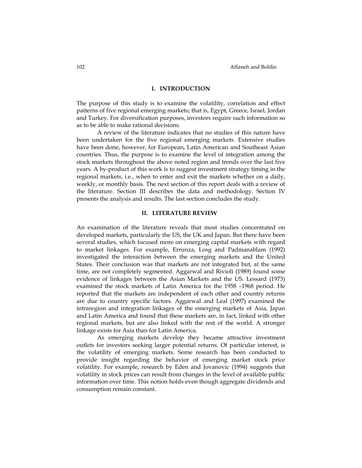#### **I. INTRODUCTION**

The purpose of this study is to examine the volatility, correlation and effect patterns of five regional emerging markets; that is, Egypt, Greece, Israel, Jordan and Turkey. For diversification purposes, investors require such information so as to be able to make rational decisions.

A review of the literature indicates that no studies of this nature have been undertaken for the five regional emerging markets. Extensive studies have been done, however, for European, Latin American and Southeast Asian countries. Thus, the purpose is to examine the level of integration among the stock markets throughout the above noted region and trends over the last five years. A by-product of this work is to suggest investment strategy timing in the regional markets, i.e., when to enter and exit the markets whether on a daily, weekly, or monthly basis. The next section of this report deals with a review of the literature. Section III describes the data and methodology. Section IV presents the analysis and results. The last section concludes the study.

## **II. LITERATURE REVIEW**

An examination of the literature reveals that most studies concentrated on developed markets, particularly the US, the UK and Japan. But there have been several studies, which focused more on emerging capital markets with regard to market linkages. For example, Errunza, Losg and Padmanablam (1992) investigated the interaction between the emerging markets and the United States. Their conclusion was that markets are not integrated but, at the same time, are not completely segmented. Aggarwal and Rivioli (1989) found some evidence of linkages between the Asian Markets and the US. Lessard (1973) examined the stock markets of Latin America for the 1958 –1968 period. He reported that the markets are independent of each other and country returns are due to country specific factors. Aggarwal and Leal (1997) examined the intraregion and integration linkages of the emerging markets of Asia, Japan and Latin America and found that these markets are, in fact, linked with other regional markets, but are also linked with the rest of the world. A stronger linkage exists for Asia than for Latin America.

As emerging markets develop they became attractive investment outlets for investors seeking larger potential returns. Of particular interest, is the volatility of emerging markets. Some research has been conducted to provide insight regarding the behavior of emerging market stock price volatility. For example, research by Eden and Jovanovic (1994) suggests that volatility in stock prices can result from changes in the level of available public information over time. This notion holds even though aggregate dividends and consumption remain constant.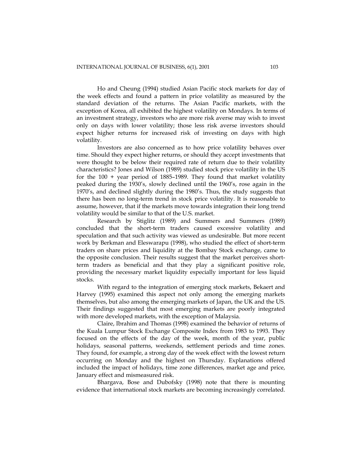Ho and Cheung (1994) studied Asian Pacific stock markets for day of the week effects and found a pattern in price volatility as measured by the standard deviation of the returns. The Asian Pacific markets, with the exception of Korea, all exhibited the highest volatility on Mondays. In terms of an investment strategy, investors who are more risk averse may wish to invest only on days with lower volatility; those less risk averse investors should expect higher returns for increased risk of investing on days with high volatility.

Investors are also concerned as to how price volatility behaves over time. Should they expect higher returns, or should they accept investments that were thought to be below their required rate of return due to their volatility characteristics? Jones and Wilson (1989) studied stock price volatility in the US for the 100 + year period of 1885–1989. They found that market volatility peaked during the 1930's, slowly declined until the 1960's, rose again in the 1970's, and declined slightly during the 1980's. Thus, the study suggests that there has been no long-term trend in stock price volatility. It is reasonable to assume, however, that if the markets move towards integration their long trend volatility would be similar to that of the U.S. market.

Research by Stiglitz (1989) and Summers and Summers (1989) concluded that the short-term traders caused excessive volatility and speculation and that such activity was viewed as undesirable. But more recent work by Berkman and Eleswarapu (1998), who studied the effect of short-term traders on share prices and liquidity at the Bombay Stock exchange, came to the opposite conclusion. Their results suggest that the market perceives shortterm traders as beneficial and that they play a significant positive role, providing the necessary market liquidity especially important for less liquid stocks.

With regard to the integration of emerging stock markets, Bekaert and Harvey (1995) examined this aspect not only among the emerging markets themselves, but also among the emerging markets of Japan, the UK and the US. Their findings suggested that most emerging markets are poorly integrated with more developed markets, with the exception of Malaysia.

Claire, Ibrahim and Thomas (1998) examined the behavior of returns of the Kuala Lumpur Stock Exchange Composite Index from 1983 to 1993. They focused on the effects of the day of the week, month of the year, public holidays, seasonal patterns, weekends, settlement periods and time zones. They found, for example, a strong day of the week effect with the lowest return occurring on Monday and the highest on Thursday. Explanations offered included the impact of holidays, time zone differences, market age and price, January effect and mismeasured risk.

Bhargava, Bose and Dubofsky (1998) note that there is mounting evidence that international stock markets are becoming increasingly correlated.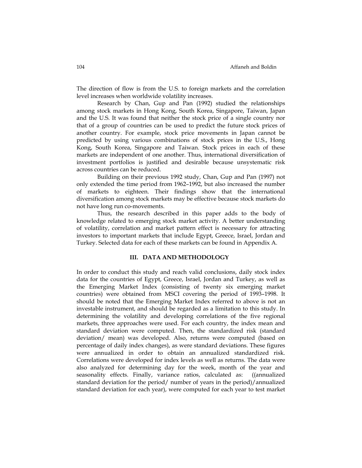The direction of flow is from the U.S. to foreign markets and the correlation level increases when worldwide volatility increases.

Research by Chan, Gup and Pan (1992) studied the relationships among stock markets in Hong Kong, South Korea, Singapore, Taiwan, Japan and the U.S. It was found that neither the stock price of a single country nor that of a group of countries can be used to predict the future stock prices of another country. For example, stock price movements in Japan cannot be predicted by using various combinations of stock prices in the U.S., Hong Kong, South Korea, Singapore and Taiwan. Stock prices in each of these markets are independent of one another. Thus, international diversification of investment portfolios is justified and desirable because unsystematic risk across countries can be reduced.

Building on their previous 1992 study, Chan, Gup and Pan (1997) not only extended the time period from 1962–1992, but also increased the number of markets to eighteen. Their findings show that the international diversification among stock markets may be effective because stock markets do not have long run co-movements.

Thus, the research described in this paper adds to the body of knowledge related to emerging stock market activity. A better understanding of volatility, correlation and market pattern effect is necessary for attracting investors to important markets that include Egypt, Greece, Israel, Jordan and Turkey. Selected data for each of these markets can be found in Appendix A.

## **III. DATA AND METHODOLOGY**

In order to conduct this study and reach valid conclusions, daily stock index data for the countries of Egypt, Greece, Israel, Jordan and Turkey, as well as the Emerging Market Index (consisting of twenty six emerging market countries) were obtained from MSCI covering the period of 1993–1998. It should be noted that the Emerging Market Index referred to above is not an investable instrument, and should be regarded as a limitation to this study. In determining the volatility and developing correlations of the five regional markets, three approaches were used. For each country, the index mean and standard deviation were computed. Then, the standardized risk (standard deviation/ mean) was developed. Also, returns were computed (based on percentage of daily index changes), as were standard deviations. These figures were annualized in order to obtain an annualized standardized risk. Correlations were developed for index levels as well as returns. The data were also analyzed for determining day for the week, month of the year and seasonality effects. Finally, variance ratios, calculated as: ((annualized standard deviation for the period/ number of years in the period)/annualized standard deviation for each year), were computed for each year to test market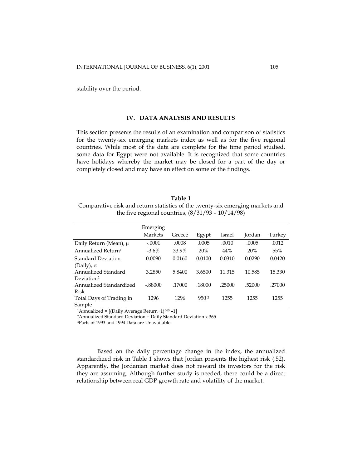stability over the period.

## **IV. DATA ANALYSIS AND RESULTS**

This section presents the results of an examination and comparison of statistics for the twenty-six emerging markets index as well as for the five regional countries. While most of the data are complete for the time period studied, some data for Egypt were not available. It is recognized that some countries have holidays whereby the market may be closed for a part of the day or completely closed and may have an effect on some of the findings.

**Table 1**  Comparative risk and return statistics of the twenty-six emerging markets and the five regional countries,  $(8/31/93 - 10/14/98)$ 

|                                | Emerging  |        |        |        |        |        |
|--------------------------------|-----------|--------|--------|--------|--------|--------|
|                                | Markets   | Greece | Egypt  | Israel | Jordan | Turkey |
| Daily Return (Mean), μ         | $-.0001$  | .0008  | .0005  | .0010  | .0005  | .0012  |
| Annualized Return <sup>1</sup> | $-3.6\%$  | 33.9%  | 20%    | 44%    | 20%    | 55%    |
| Standard Deviation             | 0.0090    | 0.0160 | 0.0100 | 0.0310 | 0.0290 | 0.0420 |
| (Daily), $\sigma$              |           |        |        |        |        |        |
| Annualized Standard            | 3.2850    | 5.8400 | 3.6500 | 11.315 | 10.585 | 15.330 |
| Deviation <sup>2</sup>         |           |        |        |        |        |        |
| Annualized Standardized        | $-.88000$ | .17000 | .18000 | .25000 | .52000 | .27000 |
| Risk                           |           |        |        |        |        |        |
| Total Days of Trading in       | 1296      | 1296   | 9503   | 1255   | 1255   | 1255   |
| Sample                         |           |        |        |        |        |        |

1Annualized = [(Daily Average Return+1) 365 –1] 2Annualized Standard Deviation = Daily Standard Deviation x 365 3Parts of 1993 and 1994 Data are Unavailable

Based on the daily percentage change in the index, the annualized standardized risk in Table 1 shows that Jordan presents the highest risk (.52). Apparently, the Jordanian market does not reward its investors for the risk they are assuming. Although further study is needed, there could be a direct relationship between real GDP growth rate and volatility of the market.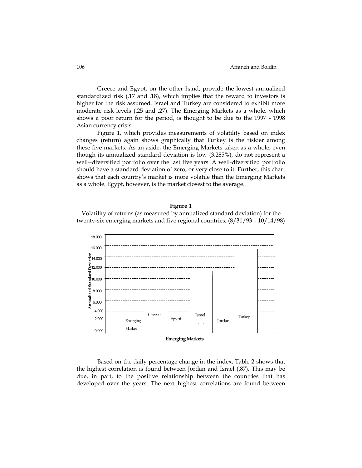#### 106 Affaneh and Boldin

Greece and Egypt, on the other hand, provide the lowest annualized standardized risk (.17 and .18), which implies that the reward to investors is higher for the risk assumed. Israel and Turkey are considered to exhibit more moderate risk levels (.25 and .27). The Emerging Markets as a whole, which shows a poor return for the period, is thought to be due to the 1997 - 1998 Asian currency crisis.

Figure 1, which provides measurements of volatility based on index changes (return) again shows graphically that Turkey is the riskier among these five markets. As an aside, the Emerging Markets taken as a whole, even though its annualized standard deviation is low (3.285%), do not represent a well--diversified portfolio over the last five years. A well-diversified portfolio should have a standard deviation of zero, or very close to it. Further, this chart shows that each country's market is more volatile than the Emerging Markets as a whole. Egypt, however, is the market closest to the average.

## **Figure 1**

Volatility of returns (as measured by annualized standard deviation) for the twenty-six emerging markets and five regional countries, (8/31/93 – 10/14/98)



Based on the daily percentage change in the index, Table 2 shows that the highest correlation is found between Jordan and Israel (.87). This may be due, in part, to the positive relationship between the countries that has developed over the years. The next highest correlations are found between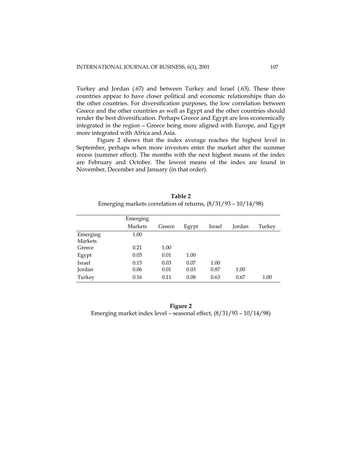Turkey and Jordan (.67) and between Turkey and Israel (.63). These three countries appear to have closer political and economic relationships than do the other countries. For diversification purposes, the low correlation between Greece and the other countries as well as Egypt and the other countries should render the best diversification. Perhaps Greece and Egypt are less economically integrated in the region – Greece being more aligned with Europe, and Egypt more integrated with Africa and Asia.

Figure 2 shows that the index average reaches the highest level in September, perhaps when more investors enter the market after the summer recess (summer effect). The months with the next highest means of the index are February and October. The lowest means of the index are found in November, December and January (in that order).

|               | Emerging       |        |       |        |        |        |
|---------------|----------------|--------|-------|--------|--------|--------|
|               | <b>Markets</b> | Greece | Egypt | Israel | Jordan | Turkey |
| Emerging      | 1.00           |        |       |        |        |        |
| Markets       |                |        |       |        |        |        |
| Greece        | 0.21           | 1.00   |       |        |        |        |
| Egypt         | 0.05           | 0.01   | 1.00  |        |        |        |
| <b>Israel</b> | 0.15           | 0.03   | 0.07  | 1.00   |        |        |
| Jordan        | 0.06           | 0.01   | 0.03  | 0.87   | 1.00   |        |
| Turkey        | 0.16           | 0.11   | 0.08  | 0.63   | 0.67   | 1.00   |

**Table 2**  Emerging markets correlation of returns, (8/31/93 – 10/14/98)

| Figure 2                                                              |  |
|-----------------------------------------------------------------------|--|
| Emerging market index level – seasonal effect, $(8/31/93 - 10/14/98)$ |  |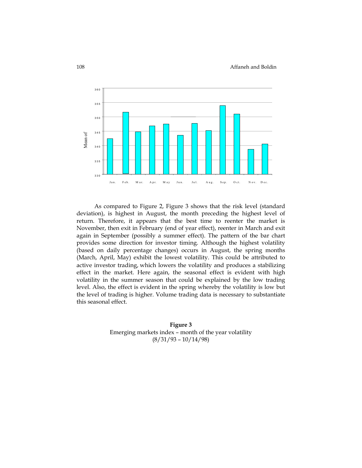

As compared to Figure 2, Figure 3 shows that the risk level (standard deviation), is highest in August, the month preceding the highest level of return. Therefore, it appears that the best time to reenter the market is November, then exit in February (end of year effect), reenter in March and exit again in September (possibly a summer effect). The pattern of the bar chart provides some direction for investor timing. Although the highest volatility (based on daily percentage changes) occurs in August, the spring months (March, April, May) exhibit the lowest volatility. This could be attributed to active investor trading, which lowers the volatility and produces a stabilizing effect in the market. Here again, the seasonal effect is evident with high volatility in the summer season that could be explained by the low trading level. Also, the effect is evident in the spring whereby the volatility is low but the level of trading is higher. Volume trading data is necessary to substantiate this seasonal effect.

> **Figure 3** Emerging markets index – month of the year volatility (8/31/93 – 10/14/98)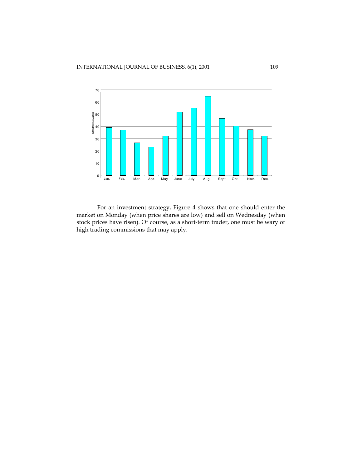

For an investment strategy, Figure 4 shows that one should enter the market on Monday (when price shares are low) and sell on Wednesday (when stock prices have risen). Of course, as a short-term trader, one must be wary of high trading commissions that may apply.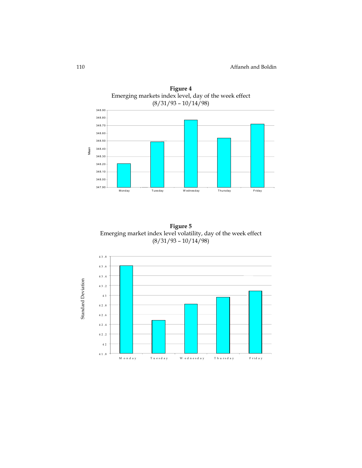

**Figure 4** 

**Figure 5**  Emerging market index level volatility, day of the week effect (8/31/93 – 10/14/98)

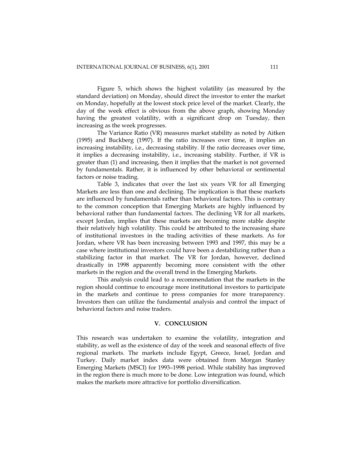Figure 5, which shows the highest volatility (as measured by the standard deviation) on Monday, should direct the investor to enter the market on Monday, hopefully at the lowest stock price level of the market. Clearly, the day of the week effect is obvious from the above graph, showing Monday having the greatest volatility, with a significant drop on Tuesday, then increasing as the week progresses.

The Variance Ratio (VR) measures market stability as noted by Aitken (1995) and Buckberg (1997). If the ratio increases over time, it implies an increasing instability, i.e., decreasing stability. If the ratio decreases over time, it implies a decreasing instability, i.e., increasing stability. Further, if VR is greater than (1) and increasing, then it implies that the market is not governed by fundamentals. Rather, it is influenced by other behavioral or sentimental factors or noise trading.

Table 3, indicates that over the last six years VR for all Emerging Markets are less than one and declining. The implication is that these markets are influenced by fundamentals rather than behavioral factors. This is contrary to the common conception that Emerging Markets are highly influenced by behavioral rather than fundamental factors. The declining VR for all markets, except Jordan, implies that these markets are becoming more stable despite their relatively high volatility. This could be attributed to the increasing share of institutional investors in the trading activities of these markets. As for Jordan, where VR has been increasing between 1993 and 1997, this may be a case where institutional investors could have been a destabilizing rather than a stabilizing factor in that market. The VR for Jordan, however, declined drastically in 1998 apparently becoming more consistent with the other markets in the region and the overall trend in the Emerging Markets.

This analysis could lead to a recommendation that the markets in the region should continue to encourage more institutional investors to participate in the markets and continue to press companies for more transparency. Investors then can utilize the fundamental analysis and control the impact of behavioral factors and noise traders.

## **V. CONCLUSION**

This research was undertaken to examine the volatility, integration and stability, as well as the existence of day of the week and seasonal effects of five regional markets. The markets include Egypt, Greece, Israel, Jordan and Turkey. Daily market index data were obtained from Morgan Stanley Emerging Markets (MSCI) for 1993–1998 period. While stability has improved in the region there is much more to be done. Low integration was found, which makes the markets more attractive for portfolio diversification.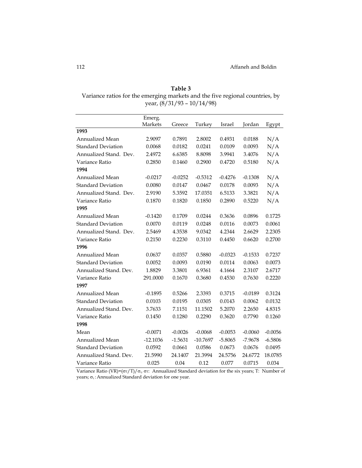| Table 3                                                                      |
|------------------------------------------------------------------------------|
| Variance ratios for the emerging markets and the five regional countries, by |
| year, $(8/31/93 - 10/14/98)$                                                 |

|                           | Emerg.     |           |            |           |           |           |
|---------------------------|------------|-----------|------------|-----------|-----------|-----------|
|                           | Markets    | Greece    | Turkey     | Israel    | Jordan    | Egypt     |
| 1993                      |            |           |            |           |           |           |
| Annualized Mean           | 2.9097     | 0.7891    | 2.8002     | 0.4931    | 0.0188    | N/A       |
| <b>Standard Deviation</b> | 0.0068     | 0.0182    | 0.0241     | 0.0109    | 0.0093    | N/A       |
| Annualized Stand. Dev.    | 2.4972     | 6.6385    | 8.8098     | 3.9941    | 3.4076    | N/A       |
| Variance Ratio            | 0.2850     | 0.1460    | 0.2900     | 0.4720    | 0.5180    | N/A       |
| 1994                      |            |           |            |           |           |           |
| <b>Annualized Mean</b>    | $-0.0217$  | $-0.0252$ | $-0.5312$  | $-0.4276$ | $-0.1308$ | N/A       |
| <b>Standard Deviation</b> | 0.0080     | 0.0147    | 0.0467     | 0.0178    | 0.0093    | N/A       |
| Annualized Stand. Dev.    | 2.9190     | 5.3592    | 17.0351    | 6.5133    | 3.3821    | N/A       |
| Variance Ratio            | 0.1870     | 0.1820    | 0.1850     | 0.2890    | 0.5220    | N/A       |
| 1995                      |            |           |            |           |           |           |
| Annualized Mean           | $-0.1420$  | 0.1709    | 0.0244     | 0.3636    | 0.0896    | 0.1725    |
| <b>Standard Deviation</b> | 0.0070     | 0.0119    | 0.0248     | 0.0116    | 0.0073    | 0.0061    |
| Annualized Stand. Dev.    | 2.5469     | 4.3538    | 9.0342     | 4.2344    | 2.6629    | 2.2305    |
| Variance Ratio            | 0.2150     | 0.2230    | 0.3110     | 0.4450    | 0.6620    | 0.2700    |
| 1996                      |            |           |            |           |           |           |
| Annualized Mean           | 0.0637     | 0.0357    | 0.5880     | $-0.0323$ | $-0.1533$ | 0.7237    |
| <b>Standard Deviation</b> | 0.0052     | 0.0093    | 0.0190     | 0.0114    | 0.0063    | 0.0073    |
| Annualized Stand, Dev.    | 1.8829     | 3.3801    | 6.9361     | 4.1664    | 2.3107    | 2.6717    |
| Variance Ratio            | 291.0000   | 0.1670    | 0.3680     | 0.4530    | 0.7630    | 0.2220    |
| 1997                      |            |           |            |           |           |           |
| Annualized Mean           | $-0.1895$  | 0.5266    | 2.3393     | 0.3715    | $-0.0189$ | 0.3124    |
| <b>Standard Deviation</b> | 0.0103     | 0.0195    | 0.0305     | 0.0143    | 0.0062    | 0.0132    |
| Annualized Stand. Dev.    | 3.7633     | 7.1151    | 11.1502    | 5.2070    | 2.2650    | 4.8315    |
| Variance Ratio            | 0.1450     | 0.1280    | 0.2290     | 0.3620    | 0.7790    | 0.1260    |
| 1998                      |            |           |            |           |           |           |
| Mean                      | $-0.0071$  | $-0.0026$ | $-0.0068$  | $-0.0053$ | $-0.0060$ | $-0.0056$ |
| Annualized Mean           | $-12.1036$ | $-1.5631$ | $-10.7697$ | $-5.8065$ | $-7.9678$ | $-6.5806$ |
| <b>Standard Deviation</b> | 0.0592     | 0.0661    | 0.0586     | 0.0673    | 0.0676    | 0.0495    |
| Annualized Stand. Dev.    | 21.5990    | 24.1407   | 21.3994    | 24.5756   | 24.6772   | 18.0785   |
| Variance Ratio            | 0.025      | 0.04      | 0.12       | 0.077     | 0.0715    | 0.034     |

Variance Ratio (VR)=( $\sigma_T/T$ )/ $\sigma_{\tau}$ ;  $\sigma_T$ : Annualized Standard deviation for the six years; T: Number of years;  $\sigma_{\tau}$ : Annualized Standard deviation for one year.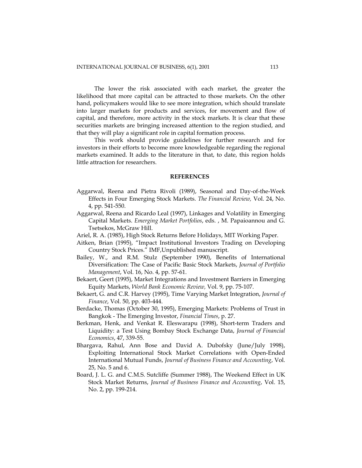The lower the risk associated with each market, the greater the likelihood that more capital can be attracted to those markets. On the other hand, policymakers would like to see more integration, which should translate into larger markets for products and services, for movement and flow of capital, and therefore, more activity in the stock markets. It is clear that these securities markets are bringing increased attention to the region studied, and that they will play a significant role in capital formation process.

This work should provide guidelines for further research and for investors in their efforts to become more knowledgeable regarding the regional markets examined. It adds to the literature in that, to date, this region holds little attraction for researchers.

## **REFERENCES**

- Aggarwal, Reena and Pietra Rivoli (1989), Seasonal and Day-of-the-Week Effects in Four Emerging Stock Markets. *The Financial Review,* Vol. 24, No. 4, pp. 541-550.
- Aggarwal, Reena and Ricardo Leal (1997), Linkages and Volatility in Emerging Capital Markets. *Emerging Market Portfolios*, eds. , M. Papaioannou and G. Tsetsekos, McGraw Hill.
- Ariel, R. A. (1985), High Stock Returns Before Holidays, MIT Working Paper.
- Aitken, Brian (1995), "Impact Institutional Investors Trading on Developing Country Stock Prices." IMF,Unpublished manuscript.
- Bailey, W., and R.M. Stulz (September 1990), Benefits of International Diversification: The Case of Pacific Basic Stock Markets, *Journal of Portfolio Management*, Vol. 16, No. 4, pp. 57-61.
- Bekaert, Geert (1995), Market Integrations and Investment Barriers in Emerging Equity Markets, *World Bank Economic Review,* Vol. 9, pp. 75-107.
- Bekaert, G. and C.R. Harvey (1995), Time Varying Market Integration, *Journal of Finance*, Vol. 50, pp. 403-444.
- Berdacke, Thomas (October 30, 1995), Emerging Markets: Problems of Trust in Bangkok - The Emerging Investor, *Financial Times*, p. 27.
- Berkman, Henk, and Venkat R. Eleswarapu (1998), Short-term Traders and Liquidity: a Test Using Bombay Stock Exchange Data, *Journal of Financial Economics*, 47, 339-55.
- Bhargava, Rahul, Ann Bose and David A. Dubofsky (June/July 1998), Exploiting International Stock Market Correlations with Open-Ended International Mutual Funds, *Journal of Business Finance and Accounting*, Vol. 25, No. 5 and 6.
- Board, J. L. G. and C.M.S. Sutcliffe (Summer 1988), The Weekend Effect in UK Stock Market Returns, *Journal of Business Finance and Accounting*, Vol. 15, No. 2, pp. 199-214.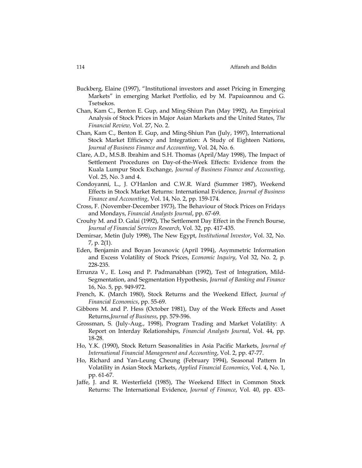- Buckberg, Elaine (1997), "Institutional investors and asset Pricing in Emerging Markets" in emerging Market Portfolio, ed by M. Papaioannou and G. Tsetsekos.
- Chan, Kam C., Benton E. Gup, and Ming-Shiun Pan (May 1992), An Empirical Analysis of Stock Prices in Major Asian Markets and the United States, *The Financial Review,* Vol. 27, No. 2.
- Chan, Kam C., Benton E. Gup, and Ming-Shiun Pan (July, 1997), International Stock Market Efficiency and Integration: A Study of Eighteen Nations, *Journal of Business Finance and Accounting*, Vol. 24, No. 6.
- Clare, A.D., M.S.B. Ibrahim and S.H. Thomas (April/May 1998), The Impact of Settlement Procedures on Day-of-the-Week Effects: Evidence from the Kuala Lumpur Stock Exchange, *Journal of Business Finance and Accounting*, Vol. 25, No. 3 and 4.
- Condoyanni, L., J. O'Hanlon and C.W.R. Ward (Summer 1987), Weekend Effects in Stock Market Returns: International Evidence, *Journal of Business Finance and Accounting*, Vol. 14, No. 2, pp. 159-174.
- Cross, F. (November-December 1973), The Behaviour of Stock Prices on Fridays and Mondays, *Financial Analysts Journal*, pp. 67-69.
- Crouhy M. and D. Galai (1992), The Settlement Day Effect in the French Bourse, *Journal of Financial Services Research*, Vol. 32, pp. 417-435.
- Demirsar, Metin (July 1998), The New Egypt, *Institutional Investor*, Vol. 32, No. 7, p. 2(1).
- Eden, Benjamin and Boyan Jovanovic (April 1994), Asymmetric Information and Excess Volatility of Stock Prices, *Economic Inquiry*, Vol 32, No. 2, p. 228-235.
- Errunza V., E. Losq and P. Padmanabhan (1992), Test of Integration, Mild-Segmentation, and Segmentation Hypothesis, *Journal of Banking and Finance* 16, No. 5, pp. 949-972.
- French, K. (March 1980), Stock Returns and the Weekend Effect, *Journal of Financial Economics*, pp. 55-69.
- Gibbons M. and P. Hess (October 1981), Day of the Week Effects and Asset Returns,*Journal of Business*, pp. 579-596.
- Grossman, S. (July-Aug., 1998), Program Trading and Market Volatility: A Report on Interday Relationships, *Financial Analysts Journal*, Vol. 44, pp. 18-28.
- Ho, Y.K. (1990), Stock Return Seasonalities in Asia Pacific Markets, *Journal of International Financial Management and Accounting*, Vol. 2, pp. 47-77.
- Ho, Richard and Yan-Leung Cheung (February 1994), Seasonal Pattern In Volatility in Asian Stock Markets, *Applied Financial Economics*, Vol. 4, No. 1, pp. 61-67.
- Jaffe, J. and R. Westerfield (1985), The Weekend Effect in Common Stock Returns: The International Evidence, *Journal of Finance*, Vol. 40, pp. 433-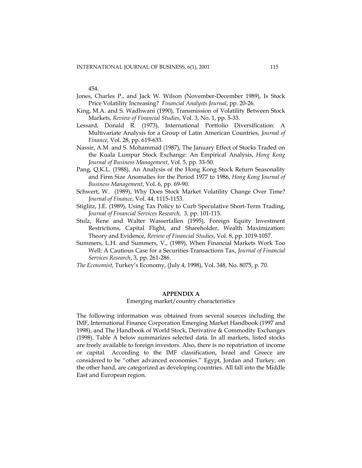454.

- Jones, Charles P., and Jack W. Wilson (November-December 1989), Is Stock Price Volatility Increasing? *Financial Analysts Journal*, pp. 20-26.
- King, M.A. and S. Wadhwani (1990), Transmission of Volatility Between Stock Markets, *Review of Financial Studies*, Vol. 3, No. 1, pp. 5-33.
- Lessard, Donald R. (1973), International Portfolio Diversification: A Multivariate Analysis for a Group of Latin American Countries, *Journal of Finance,* Vol. 28, pp. 619-633.
- Nassir, A.M. and S. Mohammad (1987), The January Effect of Stocks Traded on the Kuala Lumpur Stock Exchange: An Empirical Analysis, *Hong Kong Journal of Business Management*, Vol. 5, pp. 33-50.
- Pang, Q.K.L. (1988), An Analysis of the Hong Kong Stock Return Seasonality and Firm Size Anomalies for the Period 1977 to 1986, *Hong Kong Journal of Business Management*, Vol. 6, pp. 69-90.
- Schwert, W. (1989), Why Does Stock Market Volatility Change Over Time? *Journal of Finance*, Vol. 44, 1115-1153.
- Stiglitz, J.E. (1989), Using Tax Policy to Curb Speculative Short-Term Trading, *Journal of Financial Services Research,* 3, pp. 101-115.
- Stulz, Rene and Walter Wasserfallen (1995), Foreign Equity Investment Restrictions, Capital Flight, and Shareholder, Wealth Maximization: Theory and Evidence, *Review of Financial Studies*, Vol. 8, pp. 1019-1057.
- Summers, L.H. and Summers, V., (1989), When Financial Markets Work Too Well: A Cautious Case for a Securities Transactions Tax, *Journal of Financial Services Research*, 3, pp. 261-286.
- *The Economist*, Turkey's Economy, (July 4, 1998), Vol. 348, No. 8075, p. 70.

#### **APPENDIX A**

## Emerging market/country characteristics

The following information was obtained from several sources including the IMF, International Finance Corporation Emerging Market Handbook (1997 and 1998), and The Handbook of World Stock, Derivative & Commodity Exchanges (1998). Table A below summarizes selected data. In all markets, listed stocks are freely available to foreign investors. Also, there is no repatriation of income or capital. According to the IMF classification, Israel and Greece are considered to be "other advanced economies." Egypt, Jordan and Turkey, on the other hand, are categorized as developing countries. All fall into the Middle East and European region.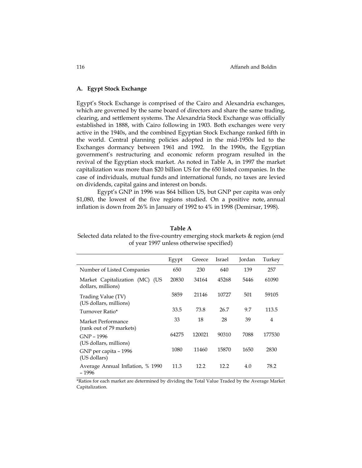#### **A. Egypt Stock Exchange**

Egypt's Stock Exchange is comprised of the Cairo and Alexandria exchanges, which are governed by the same board of directors and share the same trading, clearing, and settlement systems. The Alexandria Stock Exchange was officially established in 1888, with Cairo following in 1903. Both exchanges were very active in the 1940s, and the combined Egyptian Stock Exchange ranked fifth in the world. Central planning policies adopted in the mid-1950s led to the Exchanges dormancy between 1961 and 1992. In the 1990s, the Egyptian government's restructuring and economic reform program resulted in the revival of the Egyptian stock market. As noted in Table A, in 1997 the market capitalization was more than \$20 billion US for the 650 listed companies. In the case of individuals, mutual funds and international funds, no taxes are levied on dividends, capital gains and interest on bonds.

Egypt's GNP in 1996 was \$64 billion US, but GNP per capita was only \$1,080, the lowest of the five regions studied. On a positive note, annual inflation is down from 26% in January of 1992 to 4% in 1998 (Demirsar, 1998).

#### **Table A**

Selected data related to the five-country emerging stock markets & region (end of year 1997 unless otherwise specified)

|                                                      | Egypt | Greece | Israel | Jordan | Turkey         |
|------------------------------------------------------|-------|--------|--------|--------|----------------|
| Number of Listed Companies                           | 650   | 230    | 640    | 139    | 257            |
| Market Capitalization (MC) (US<br>dollars, millions) | 20830 | 34164  | 45268  | 5446   | 61090          |
| Trading Value (TV)<br>(US dollars, millions)         | 5859  | 21146  | 10727  | 501    | 59105          |
| Turnover Ratio*                                      | 33.5  | 73.8   | 26.7   | 9.7    | 113.5          |
| Market Performance<br>(rank out of 79 markets)       | 33    | 18     | 28     | 39     | $\overline{4}$ |
| GNP - 1996<br>(US dollars, millions)                 | 64275 | 120021 | 90310  | 7088   | 177530         |
| GNP per capita - 1996<br>(US dollars)                | 1080  | 11460  | 15870  | 1650   | 2830           |
| Average Annual Inflation, % 1990<br>- 1996           | 11.3  | 12.2   | 12.2   | 4.0    | 78.2           |

\*Ratios for each market are determined by dividing the Total Value Traded by the Average Market Capitalization.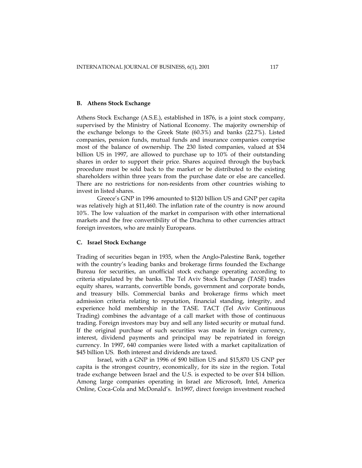#### **B. Athens Stock Exchange**

Athens Stock Exchange (A.S.E.), established in 1876, is a joint stock company, supervised by the Ministry of National Economy. The majority ownership of the exchange belongs to the Greek State (60.3%) and banks (22.7%). Listed companies, pension funds, mutual funds and insurance companies comprise most of the balance of ownership. The 230 listed companies, valued at \$34 billion US in 1997, are allowed to purchase up to 10% of their outstanding shares in order to support their price. Shares acquired through the buyback procedure must be sold back to the market or be distributed to the existing shareholders within three years from the purchase date or else are cancelled. There are no restrictions for non-residents from other countries wishing to invest in listed shares.

Greece's GNP in 1996 amounted to \$120 billion US and GNP per capita was relatively high at \$11,460. The inflation rate of the country is now around 10%. The low valuation of the market in comparison with other international markets and the free convertibility of the Drachma to other currencies attract foreign investors, who are mainly Europeans.

## **C. Israel Stock Exchange**

Trading of securities began in 1935, when the Anglo-Palestine Bank, together with the country's leading banks and brokerage firms founded the Exchange Bureau for securities, an unofficial stock exchange operating according to criteria stipulated by the banks. The Tel Aviv Stock Exchange (TASE) trades equity shares, warrants, convertible bonds, government and corporate bonds, and treasury bills. Commercial banks and brokerage firms which meet admission criteria relating to reputation, financial standing, integrity, and experience hold membership in the TASE. TACT (Tel Aviv Continuous Trading) combines the advantage of a call market with those of continuous trading. Foreign investors may buy and sell any listed security or mutual fund. If the original purchase of such securities was made in foreign currency, interest, dividend payments and principal may be repatriated in foreign currency. In 1997, 640 companies were listed with a market capitalization of \$45 billion US. Both interest and dividends are taxed.

Israel, with a GNP in 1996 of \$90 billion US and \$15,870 US GNP per capita is the strongest country, economically, for its size in the region. Total trade exchange between Israel and the U.S. is expected to be over \$14 billion. Among large companies operating in Israel are Microsoft, Intel, America Online, Coca-Cola and McDonald's. In1997, direct foreign investment reached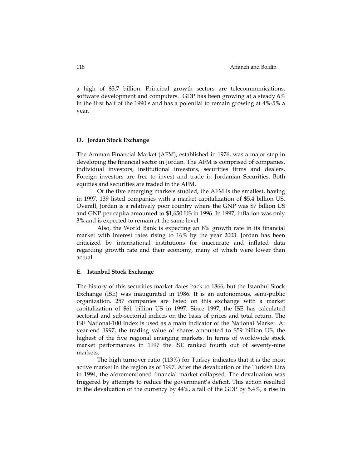a high of \$3.7 billion. Principal growth sectors are telecommunications, software development and computers. GDP has been growing at a steady 6% in the first half of the 1990's and has a potential to remain growing at 4%-5% a year.

#### **D. Jordan Stock Exchange**

The Amman Financial Market (AFM), established in 1976, was a major step in developing the financial sector in Jordan. The AFM is comprised of companies, individual investors, institutional investors, securities firms and dealers. Foreign investors are free to invest and trade in Jordanian Securities. Both equities and securities are traded in the AFM.

Of the five emerging markets studied, the AFM is the smallest, having in 1997, 139 listed companies with a market capitalization of \$5.4 billion US. Overall, Jordan is a relatively poor country where the GNP was \$7 billion US and GNP per capita amounted to \$1,650 US in 1996. In 1997, inflation was only 3% and is expected to remain at the same level.

Also, the World Bank is expecting an 8% growth rate in its financial market with interest rates rising to 16% by the year 2003. Jordan has been criticized by international institutions for inaccurate and inflated data regarding growth rate and their economy, many of which were lower than actual.

#### **E. Istanbul Stock Exchange**

The history of this securities market dates back to 1866, but the Istanbul Stock Exchange (ISE) was inaugurated in 1986. It is an autonomous, semi-public organization. 257 companies are listed on this exchange with a market capitalization of \$61 billion US in 1997. Since 1997, the ISE has calculated sectorial and sub-sectorial indices on the basis of prices and total return. The ISE National-100 Index is used as a main indicator of the National Market. At year-end 1997, the trading value of shares amounted to \$59 billion US, the highest of the five regional emerging markets. In terms of worldwide stock market performances in 1997 the ISE ranked fourth out of seventy-nine markets.

The high turnover ratio (113%) for Turkey indicates that it is the most active market in the region as of 1997. After the devaluation of the Turkish Lira in 1994, the aforementioned financial market collapsed. The devaluation was triggered by attempts to reduce the government's deficit. This action resulted in the devaluation of the currency by 44%, a fall of the GDP by 5.4%, a rise in